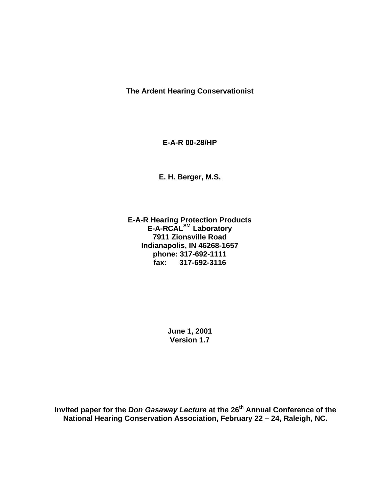**The Ardent Hearing Conservationist**

**E-A-R 00-28/HP**

**E. H. Berger, M.S.**

**E-A-R Hearing Protection Products E-A-RCALSM Laboratory 7911 Zionsville Road Indianapolis, IN 46268-1657 phone: 317-692-1111 fax: 317-692-3116**

> **June 1, 2001 Version 1.7**

**Invited paper for the** *Don Gasaway Lecture* **at the 26th Annual Conference of the National Hearing Conservation Association, February 22 – 24, Raleigh, NC.**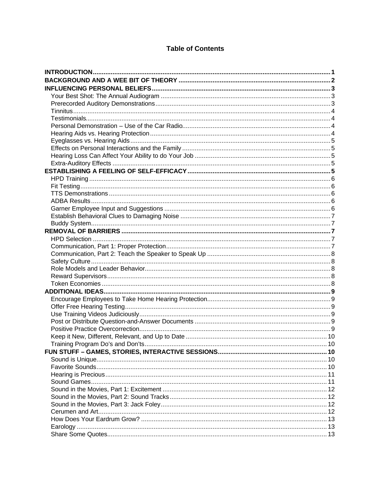# **Table of Contents**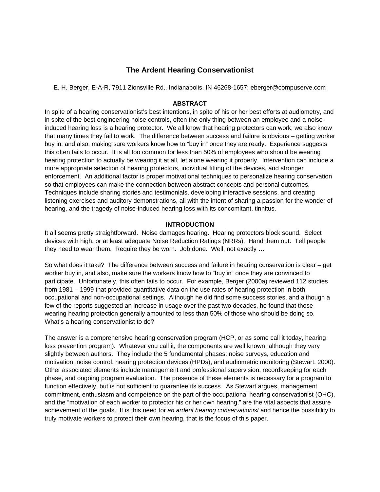# **The Ardent Hearing Conservationist**

E. H. Berger, E-A-R, 7911 Zionsville Rd., Indianapolis, IN 46268-1657; eberger@compuserve.com

### **ABSTRACT**

In spite of a hearing conservationist's best intentions, in spite of his or her best efforts at audiometry, and in spite of the best engineering noise controls, often the only thing between an employee and a noiseinduced hearing loss is a hearing protector. We all know that hearing protectors can work; we also know that many times they fail to work. The difference between success and failure is obvious – getting worker buy in, and also, making sure workers know how to "buy in" once they are ready. Experience suggests this often fails to occur. It is all too common for less than 50% of employees who should be wearing hearing protection to actually be wearing it at all, let alone wearing it properly. Intervention can include a more appropriate selection of hearing protectors, individual fitting of the devices, and stronger enforcement. An additional factor is proper motivational techniques to personalize hearing conservation so that employees can make the connection between abstract concepts and personal outcomes. Techniques include sharing stories and testimonials, developing interactive sessions, and creating listening exercises and auditory demonstrations, all with the intent of sharing a passion for the wonder of hearing, and the tragedy of noise-induced hearing loss with its concomitant, tinnitus.

#### **INTRODUCTION**

It all seems pretty straightforward. Noise damages hearing. Hearing protectors block sound. Select devices with high, or at least adequate Noise Reduction Ratings (NRRs). Hand them out. Tell people they need to wear them. Require they be worn. Job done. Well, not exactly …

So what does it take? The difference between success and failure in hearing conservation is clear – get worker buy in, and also, make sure the workers know how to "buy in" once they are convinced to participate. Unfortunately, this often fails to occur. For example, Berger (2000a) reviewed 112 studies from 1981 – 1999 that provided quantitative data on the use rates of hearing protection in both occupational and non-occupational settings. Although he did find some success stories, and although a few of the reports suggested an increase in usage over the past two decades, he found that those wearing hearing protection generally amounted to less than 50% of those who should be doing so. What's a hearing conservationist to do?

The answer is a comprehensive hearing conservation program (HCP, or as some call it today, hearing loss prevention program). Whatever you call it, the components are well known, although they vary slightly between authors. They include the 5 fundamental phases: noise surveys, education and motivation, noise control, hearing protection devices (HPDs), and audiometric monitoring (Stewart, 2000). Other associated elements include management and professional supervision, recordkeeping for each phase, and ongoing program evaluation. The presence of these elements is necessary for a program to function effectively, but is not sufficient to guarantee its success. As Stewart argues, management commitment, enthusiasm and competence on the part of the occupational hearing conservationist (OHC), and the "motivation of each worker to protector his or her own hearing," are the vital aspects that assure achievement of the goals. It is this need for *an ardent hearing conservationist* and hence the possibility to truly motivate workers to protect their own hearing, that is the focus of this paper.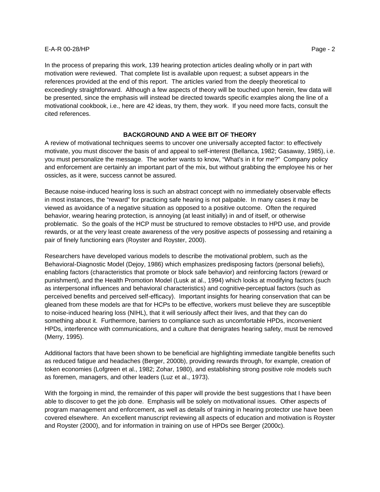In the process of preparing this work, 139 hearing protection articles dealing wholly or in part with motivation were reviewed. That complete list is available upon request; a subset appears in the references provided at the end of this report. The articles varied from the deeply theoretical to exceedingly straightforward. Although a few aspects of theory will be touched upon herein, few data will be presented, since the emphasis will instead be directed towards specific examples along the line of a motivational cookbook, i.e., here are 42 ideas, try them, they work. If you need more facts, consult the cited references.

# **BACKGROUND AND A WEE BIT OF THEORY**

A review of motivational techniques seems to uncover one universally accepted factor: to effectively motivate, you must discover the basis of and appeal to self-interest (Bellanca, 1982; Gasaway, 1985), i.e. you must personalize the message. The worker wants to know, "What's in it for me?" Company policy and enforcement are certainly an important part of the mix, but without grabbing the employee his or her ossicles, as it were, success cannot be assured.

Because noise-induced hearing loss is such an abstract concept with no immediately observable effects in most instances, the "reward" for practicing safe hearing is not palpable. In many cases it may be viewed as avoidance of a negative situation as opposed to a positive outcome. Often the required behavior, wearing hearing protection, is annoying (at least initially) in and of itself, or otherwise problematic. So the goals of the HCP must be structured to remove obstacles to HPD use, and provide rewards, or at the very least create awareness of the very positive aspects of possessing and retaining a pair of finely functioning ears (Royster and Royster, 2000).

Researchers have developed various models to describe the motivational problem, such as the Behavioral-Diagnostic Model (Dejoy, 1986) which emphasizes predisposing factors (personal beliefs), enabling factors (characteristics that promote or block safe behavior) and reinforcing factors (reward or punishment), and the Health Promotion Model (Lusk at al., 1994) which looks at modifying factors (such as interpersonal influences and behavioral characteristics) and cognitive-perceptual factors (such as perceived benefits and perceived self-efficacy). Important insights for hearing conservation that can be gleaned from these models are that for HCPs to be effective, workers must believe they are susceptible to noise-induced hearing loss (NIHL), that it will seriously affect their lives, and that they can do something about it. Furthermore, barriers to compliance such as uncomfortable HPDs, inconvenient HPDs, interference with communications, and a culture that denigrates hearing safety, must be removed (Merry, 1995).

Additional factors that have been shown to be beneficial are highlighting immediate tangible benefits such as reduced fatigue and headaches (Berger, 2000b), providing rewards through, for example, creation of token economies (Lofgreen et al., 1982; Zohar, 1980), and establishing strong positive role models such as foremen, managers, and other leaders (Luz et al., 1973).

With the forgoing in mind, the remainder of this paper will provide the best suggestions that I have been able to discover to get the job done. Emphasis will be solely on motivational issues. Other aspects of program management and enforcement, as well as details of training in hearing protector use have been covered elsewhere. An excellent manuscript reviewing all aspects of education and motivation is Royster and Royster (2000), and for information in training on use of HPDs see Berger (2000c).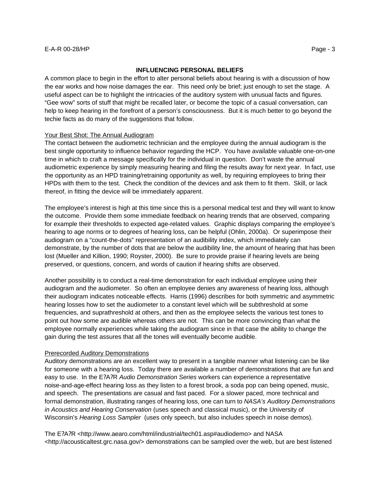#### **INFLUENCING PERSONAL BELIEFS**

A common place to begin in the effort to alter personal beliefs about hearing is with a discussion of how the ear works and how noise damages the ear. This need only be brief; just enough to set the stage. A useful aspect can be to highlight the intricacies of the auditory system with unusual facts and figures. "Gee wow" sorts of stuff that might be recalled later, or become the topic of a casual conversation, can help to keep hearing in the forefront of a person's consciousness. But it is much better to go beyond the techie facts as do many of the suggestions that follow.

### Your Best Shot: The Annual Audiogram

The contact between the audiometric technician and the employee during the annual audiogram is the best single opportunity to influence behavior regarding the HCP. You have available valuable one-on-one time in which to craft a message specifically for the individual in question. Don't waste the annual audiometric experience by simply measuring hearing and filing the results away for next year. In fact, use the opportunity as an HPD training/retraining opportunity as well, by requiring employees to bring their HPDs with them to the test. Check the condition of the devices and ask them to fit them. Skill, or lack thereof, in fitting the device will be immediately apparent.

The employee's interest is high at this time since this is a personal medical test and they will want to know the outcome. Provide them some immediate feedback on hearing trends that are observed, comparing for example their thresholds to expected age-related values. Graphic displays comparing the employee's hearing to age norms or to degrees of hearing loss, can be helpful (Ohlin, 2000a). Or superimpose their audiogram on a "count-the-dots" representation of an audibility index, which immediately can demonstrate, by the number of dots that are below the audibility line, the amount of hearing that has been lost (Mueller and Killion, 1990; Royster, 2000). Be sure to provide praise if hearing levels are being preserved, or questions, concern, and words of caution if hearing shifts are observed.

Another possibility is to conduct a real-time demonstration for each individual employee using their audiogram and the audiometer. So often an employee denies any awareness of hearing loss, although their audiogram indicates noticeable effects. Harris (1996) describes for both symmetric and asymmetric hearing losses how to set the audiometer to a constant level which will be subthreshold at some frequencies, and suprathreshold at others, and then as the employee selects the various test tones to point out how some are audible whereas others are not. This can be more convincing than what the employee normally experiences while taking the audiogram since in that case the ability to change the gain during the test assures that all the tones will eventually become audible.

#### Prerecorded Auditory Demonstrations

Auditory demonstrations are an excellent way to present in a tangible manner what listening can be like for someone with a hearing loss. Today there are available a number of demonstrations that are fun and easy to use. In the E?A?R *Audio Demonstration Series* workers can experience a representative noise-and-age-effect hearing loss as they listen to a forest brook, a soda pop can being opened, music, and speech. The presentations are casual and fast paced. For a slower paced, more technical and formal demonstration, illustrating ranges of hearing loss, one can turn to *NASA's Auditory Demonstrations in Acoustics and Hearing Conservation* (uses speech and classical music), or the University of Wisconsin's *Hearing Loss Sampler* (uses only speech, but also includes speech in noise demos)*.*

The E?A?R <http://www.aearo.com/html/industrial/tech01.asp#audiodemo> and NASA <http://acousticaltest.grc.nasa.gov/> demonstrations can be sampled over the web, but are best listened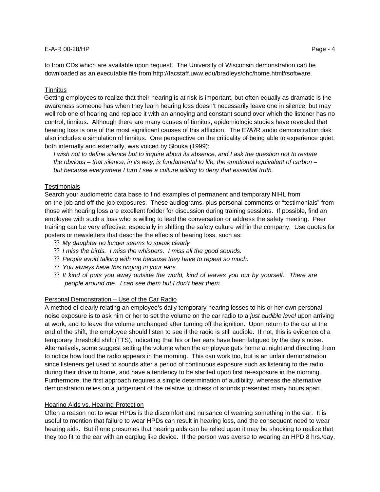### **Tinnitus**

Getting employees to realize that their hearing is at risk is important, but often equally as dramatic is the awareness someone has when they learn hearing loss doesn't necessarily leave one in silence, but may well rob one of hearing and replace it with an annoying and constant sound over which the listener has no control, tinnitus. Although there are many causes of tinnitus, epidemiologic studies have revealed that hearing loss is one of the most significant causes of this affliction. The E?A?R audio demonstration disk also includes a simulation of tinnitus. One perspective on the criticality of being able to experience quiet, both internally and externally, was voiced by Slouka (1999):

*I* wish not to define silence but to inquire about its absence, and *I* ask the question not to restate *the obvious – that silence, in its way, is fundamental to life, the emotional equivalent of carbon – but because everywhere I turn I see a culture willing to deny that essential truth.*

### **Testimonials**

Search your audiometric data base to find examples of permanent and temporary NIHL from on-the-job and off-the-job exposures. These audiograms, plus personal comments or "testimonials" from those with hearing loss are excellent fodder for discussion during training sessions. If possible, find an employee with such a loss who is willing to lead the conversation or address the safety meeting. Peer training can be very effective, especially in shifting the safety culture within the company. Use quotes for posters or newsletters that describe the effects of hearing loss, such as:

- ?? *My daughter no longer seems to speak clearly*
- ?? *I miss the birds. I miss the whispers. I miss all the good sounds.*
- ?? *People avoid talking with me because they have to repeat so much.*
- ?? *You always have this ringing in your ears.*
- ?? *It kind of puts you away outside the world, kind of leaves you out by yourself. There are people around me. I can see them but I don't hear them.*

# Personal Demonstration – Use of the Car Radio

A method of clearly relating an employee's daily temporary hearing losses to his or her own personal noise exposure is to ask him or her to set the volume on the car radio to a *just audible level* upon arriving at work, and to leave the volume unchanged after turning off the ignition. Upon return to the car at the end of the shift, the employee should listen to see if the radio is still audible. If not, this is evidence of a temporary threshold shift (TTS), indicating that his or her ears have been fatigued by the day's noise. Alternatively, some suggest setting the volume when the employee gets home at night and directing them to notice how loud the radio appears in the morning. This can work too, but is an unfair demonstration since listeners get used to sounds after a period of continuous exposure such as listening to the radio during their drive to home, and have a tendency to be startled upon first re-exposure in the morning. Furthermore, the first approach requires a simple determination of audibility, whereas the alternative demonstration relies on a judgement of the relative loudness of sounds presented many hours apart.

#### Hearing Aids vs. Hearing Protection

Often a reason not to wear HPDs is the discomfort and nuisance of wearing something in the ear. It is useful to mention that failure to wear HPDs can result in hearing loss, and the consequent need to wear hearing aids. But if one presumes that hearing aids can be relied upon it may be shocking to realize that they too fit to the ear with an earplug like device. If the person was averse to wearing an HPD 8 hrs./day,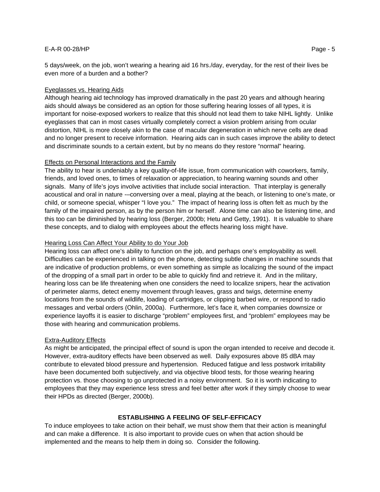5 days/week, on the job, won't wearing a hearing aid 16 hrs./day, everyday, for the rest of their lives be even more of a burden and a bother?

#### Eyeglasses vs. Hearing Aids

Although hearing aid technology has improved dramatically in the past 20 years and although hearing aids should always be considered as an option for those suffering hearing losses of all types, it is important for noise-exposed workers to realize that this should not lead them to take NIHL lightly. Unlike eyeglasses that can in most cases virtually completely correct a vision problem arising from ocular distortion, NIHL is more closely akin to the case of macular degeneration in which nerve cells are dead and no longer present to receive information. Hearing aids can in such cases improve the ability to detect and discriminate sounds to a certain extent, but by no means do they restore "normal" hearing.

### Effects on Personal Interactions and the Family

The ability to hear is undeniably a key quality-of-life issue, from communication with coworkers, family, friends, and loved ones, to times of relaxation or appreciation, to hearing warning sounds and other signals. Many of life's joys involve activities that include social interaction. That interplay is generally acoustical and oral in nature -–conversing over a meal, playing at the beach, or listening to one's mate, or child, or someone special, whisper "I love you." The impact of hearing loss is often felt as much by the family of the impaired person, as by the person him or herself. Alone time can also be listening time, and this too can be diminished by hearing loss (Berger, 2000b; Hetu and Getty, 1991). It is valuable to share these concepts, and to dialog with employees about the effects hearing loss might have.

# Hearing Loss Can Affect Your Ability to do Your Job

Hearing loss can affect one's ability to function on the job, and perhaps one's employability as well. Difficulties can be experienced in talking on the phone, detecting subtle changes in machine sounds that are indicative of production problems, or even something as simple as localizing the sound of the impact of the dropping of a small part in order to be able to quickly find and retrieve it. And in the military, hearing loss can be life threatening when one considers the need to localize snipers, hear the activation of perimeter alarms, detect enemy movement through leaves, grass and twigs, determine enemy locations from the sounds of wildlife, loading of cartridges, or clipping barbed wire, or respond to radio messages and verbal orders (Ohlin, 2000a). Furthermore, let's face it, when companies downsize or experience layoffs it is easier to discharge "problem" employees first, and "problem" employees may be those with hearing and communication problems.

#### **Extra-Auditory Effects**

As might be anticipated, the principal effect of sound is upon the organ intended to receive and decode it. However, extra-auditory effects have been observed as well. Daily exposures above 85 dBA may contribute to elevated blood pressure and hypertension. Reduced fatigue and less postwork irritability have been documented both subjectively, and via objective blood tests, for those wearing hearing protection vs. those choosing to go unprotected in a noisy environment. So it is worth indicating to employees that they may experience less stress and feel better after work if they simply choose to wear their HPDs as directed (Berger, 2000b).

# **ESTABLISHING A FEELING OF SELF-EFFICACY**

To induce employees to take action on their behalf, we must show them that their action is meaningful and can make a difference. It is also important to provide cues on when that action should be implemented and the means to help them in doing so. Consider the following.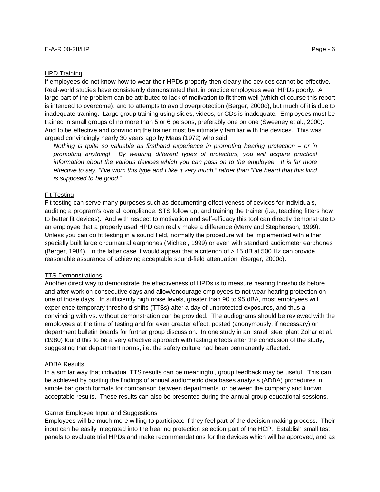#### HPD Training

If employees do not know how to wear their HPDs properly then clearly the devices cannot be effective. Real-world studies have consistently demonstrated that, in practice employees wear HPDs poorly. A large part of the problem can be attributed to lack of motivation to fit them well (which of course this report is intended to overcome), and to attempts to avoid overprotection (Berger, 2000c), but much of it is due to inadequate training. Large group training using slides, videos, or CDs is inadequate. Employees must be trained in small groups of no more than 5 or 6 persons, preferably one on one (Sweeney et al., 2000). And to be effective and convincing the trainer must be intimately familiar with the devices. This was argued convincingly nearly 30 years ago by Maas (1972) who said,

*Nothing is quite so valuable as firsthand experience in promoting hearing protection – or in promoting anything! By wearing different types of protectors, you will acquire practical information about the various devices which you can pass on to the employee. It is far more effective to say, "I've worn this type and I like it very much," rather than "I've heard that this kind is supposed to be good*."

### Fit Testing

Fit testing can serve many purposes such as documenting effectiveness of devices for individuals, auditing a program's overall compliance, STS follow up, and training the trainer (i.e., teaching fitters how to better fit devices). And with respect to motivation and self-efficacy this tool can directly demonstrate to an employee that a properly used HPD can really make a difference (Merry and Stephenson, 1999). Unless you can do fit testing in a sound field, normally the procedure will be implemented with either specially built large circumaural earphones (Michael, 1999) or even with standard audiometer earphones (Berger, 1984). In the latter case it would appear that a criterion of > 15 dB at 500 Hz can provide reasonable assurance of achieving acceptable sound-field attenuation (Berger, 2000c).

#### TTS Demonstrations

Another direct way to demonstrate the effectiveness of HPDs is to measure hearing thresholds before and after work on consecutive days and allow/encourage employees to not wear hearing protection on one of those days. In sufficiently high noise levels, greater than 90 to 95 dBA, most employees will experience temporary threshold shifts (TTSs) after a day of unprotected exposures, and thus a convincing with vs. without demonstration can be provided. The audiograms should be reviewed with the employees at the time of testing and for even greater effect, posted (anonymously, if necessary) on department bulletin boards for further group discussion. In one study in an Israeli steel plant Zohar et al. (1980) found this to be a very effective approach with lasting effects after the conclusion of the study, suggesting that department norms, i.e. the safety culture had been permanently affected.

#### ADBA Results

In a similar way that individual TTS results can be meaningful, group feedback may be useful. This can be achieved by posting the findings of annual audiometric data bases analysis (ADBA) procedures in simple bar graph formats for comparison between departments, or between the company and known acceptable results. These results can also be presented during the annual group educational sessions.

#### Garner Employee Input and Suggestions

Employees will be much more willing to participate if they feel part of the decision-making process. Their input can be easily integrated into the hearing protection selection part of the HCP. Establish small test panels to evaluate trial HPDs and make recommendations for the devices which will be approved, and as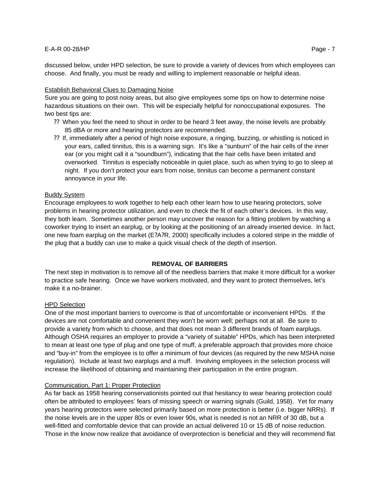discussed below, under HPD selection, be sure to provide a variety of devices from which employees can choose. And finally, you must be ready and willing to implement reasonable or helpful ideas.

# Establish Behavioral Clues to Damaging Noise

Sure you are going to post noisy areas, but also give employees some tips on how to determine noise hazardous situations on their own. This will be especially helpful for nonoccupational exposures. The two best tips are:

- ?? When you feel the need to shout in order to be heard 3 feet away, the noise levels are probably 85 dBA or more and hearing protectors are recommended.
- ?? If, immediately after a period of high noise exposure, a ringing, buzzing, or whistling is noticed in your ears, called tinnitus, this is a warning sign. It's like a "sunburn" of the hair cells of the inner ear (or you might call it a "soundburn"), indicating that the hair cells have been irritated and overworked. Tinnitus is especially noticeable in quiet place, such as when trying to go to sleep at night. If you don't protect your ears from noise, tinnitus can become a permanent constant annoyance in your life.

# Buddy System

Encourage employees to work together to help each other learn how to use hearing protectors, solve problems in hearing protector utilization, and even to check the fit of each other's devices. In this way, they both learn. Sometimes another person may uncover the reason for a fitting problem by watching a coworker trying to insert an earplug, or by looking at the positioning of an already inserted device. In fact, one new foam earplug on the market (E?A?R, 2000) specifically includes a colored stripe in the middle of the plug that a buddy can use to make a quick visual check of the depth of insertion.

# **REMOVAL OF BARRIERS**

The next step in motivation is to remove all of the needless barriers that make it more difficult for a worker to practice safe hearing. Once we have workers motivated, and they want to protect themselves, let's make it a no-brainer.

# HPD Selection

One of the most important barriers to overcome is that of uncomfortable or inconvenient HPDs. If the devices are not comfortable and convenient they won't be worn well; perhaps not at all. Be sure to provide a variety from which to choose, and that does not mean 3 different brands of foam earplugs. Although OSHA requires an employer to provide a "variety of suitable" HPDs, which has been interpreted to mean at least one type of plug and one type of muff, a preferable approach that provides more choice and "buy-in" from the employee is to offer a minimum of four devices (as required by the new MSHA noise regulation). Include at least two earplugs and a muff. Involving employees in the selection process will increase the likelihood of obtaining and maintaining their participation in the entire program.

# Communication, Part 1: Proper Protection

As far back as 1958 hearing conservationists pointed out that hesitancy to wear hearing protection could often be attributed to employees' fears of missing speech or warning signals (Guild, 1958). Yet for many years hearing protectors were selected primarily based on more protection is better (i.e. bigger NRRs). If the noise levels are in the upper 80s or even lower 90s, what is needed is not an NRR of 30 dB, but a well-fitted and comfortable device that can provide an actual delivered 10 or 15 dB of noise reduction. Those in the know now realize that avoidance of overprotection is beneficial and they will recommend flat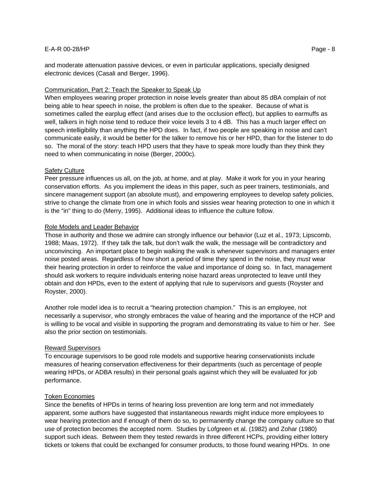and moderate attenuation passive devices, or even in particular applications, specially designed electronic devices (Casali and Berger, 1996).

#### Communication, Part 2: Teach the Speaker to Speak Up

When employees wearing proper protection in noise levels greater than about 85 dBA complain of not being able to hear speech in noise, the problem is often due to the speaker. Because of what is sometimes called the earplug effect (and arises due to the occlusion effect), but applies to earmuffs as well, talkers in high noise tend to reduce their voice levels 3 to 4 dB. This has a much larger effect on speech intelligibility than anything the HPD does. In fact, if two people are speaking in noise and can't communicate easily, it would be better for the talker to remove his or her HPD, than for the listener to do so. The moral of the story: teach HPD users that they have to speak more loudly than they think they need to when communicating in noise (Berger, 2000c).

#### Safety Culture

Peer pressure influences us all, on the job, at home, and at play. Make it work for you in your hearing conservation efforts. As you implement the ideas in this paper, such as peer trainers, testimonials, and sincere management support (an absolute must), and empowering employees to develop safety policies, strive to change the climate from one in which fools and sissies wear hearing protection to one in which it is the "in" thing to do (Merry, 1995). Additional ideas to influence the culture follow.

#### Role Models and Leader Behavior

Those in authority and those we admire can strongly influence our behavior (Luz et al., 1973; Lipscomb, 1988; Maas, 1972). If they talk the talk, but don't walk the walk, the message will be contradictory and unconvincing. An important place to begin walking the walk is whenever supervisors and managers enter noise posted areas. Regardless of how short a period of time they spend in the noise, they *must* wear their hearing protection in order to reinforce the value and importance of doing so. In fact, management should ask workers to require individuals entering noise hazard areas unprotected to leave until they obtain and don HPDs, even to the extent of applying that rule to supervisors and guests (Royster and Royster, 2000).

Another role model idea is to recruit a "hearing protection champion." This is an employee, not necessarily a supervisor, who strongly embraces the value of hearing and the importance of the HCP and is willing to be vocal and visible in supporting the program and demonstrating its value to him or her. See also the prior section on testimonials.

#### Reward Supervisors

To encourage supervisors to be good role models and supportive hearing conservationists include measures of hearing conservation effectiveness for their departments (such as percentage of people wearing HPDs, or ADBA results) in their personal goals against which they will be evaluated for job performance.

#### Token Economies

Since the benefits of HPDs in terms of hearing loss prevention are long term and not immediately apparent, some authors have suggested that instantaneous rewards might induce more employees to wear hearing protection and if enough of them do so, to permanently change the company culture so that use of protection becomes the accepted norm. Studies by Lofgreen et al. (1982) and Zohar (1980) support such ideas. Between them they tested rewards in three different HCPs, providing either lottery tickets or tokens that could be exchanged for consumer products, to those found wearing HPDs. In one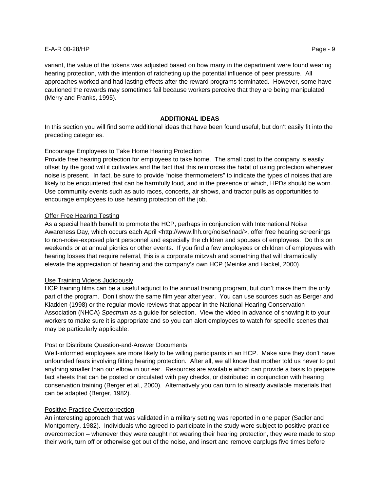variant, the value of the tokens was adjusted based on how many in the department were found wearing hearing protection, with the intention of ratcheting up the potential influence of peer pressure. All approaches worked and had lasting effects after the reward programs terminated. However, some have cautioned the rewards may sometimes fail because workers perceive that they are being manipulated (Merry and Franks, 1995).

### **ADDITIONAL IDEAS**

In this section you will find some additional ideas that have been found useful, but don't easily fit into the preceding categories.

### Encourage Employees to Take Home Hearing Protection

Provide free hearing protection for employees to take home. The small cost to the company is easily offset by the good will it cultivates and the fact that this reinforces the habit of using protection whenever noise is present. In fact, be sure to provide "noise thermometers" to indicate the types of noises that are likely to be encountered that can be harmfully loud, and in the presence of which, HPDs should be worn. Use community events such as auto races, concerts, air shows, and tractor pulls as opportunities to encourage employees to use hearing protection off the job.

#### Offer Free Hearing Testing

As a special health benefit to promote the HCP, perhaps in conjunction with International Noise Awareness Day, which occurs each April <http://www.lhh.org/noise/inad/>, offer free hearing screenings to non-noise-exposed plant personnel and especially the children and spouses of employees. Do this on weekends or at annual picnics or other events. If you find a few employees or children of employees with hearing losses that require referral, this is a corporate mitzvah and something that will dramatically elevate the appreciation of hearing and the company's own HCP (Meinke and Hackel, 2000).

#### Use Training Videos Judiciously

HCP training films can be a useful adjunct to the annual training program, but don't make them the only part of the program. Don't show the same film year after year. You can use sources such as Berger and Kladden (1998) or the regular movie reviews that appear in the National Hearing Conservation Association (NHCA) *Spectrum* as a guide for selection. View the video in advance of showing it to your workers to make sure it is appropriate and so you can alert employees to watch for specific scenes that may be particularly applicable.

#### Post or Distribute Question-and-Answer Documents

Well-informed employees are more likely to be willing participants in an HCP. Make sure they don't have unfounded fears involving fitting hearing protection. After all, we all know that mother told us never to put anything smaller than our elbow in our ear. Resources are available which can provide a basis to prepare fact sheets that can be posted or circulated with pay checks, or distributed in conjunction with hearing conservation training (Berger et al., 2000). Alternatively you can turn to already available materials that can be adapted (Berger, 1982).

#### Positive Practice Overcorrection

An interesting approach that was validated in a military setting was reported in one paper (Sadler and Montgomery, 1982). Individuals who agreed to participate in the study were subject to positive practice overcorrection – whenever they were caught not wearing their hearing protection, they were made to stop their work, turn off or otherwise get out of the noise, and insert and remove earplugs five times before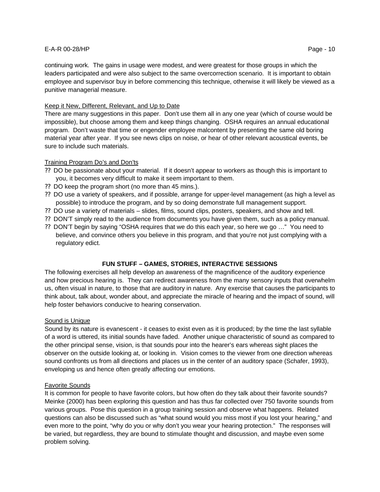continuing work. The gains in usage were modest, and were greatest for those groups in which the leaders participated and were also subject to the same overcorrection scenario. It is important to obtain employee and supervisor buy in before commencing this technique, otherwise it will likely be viewed as a punitive managerial measure.

# Keep it New, Different, Relevant, and Up to Date

There are many suggestions in this paper. Don't use them all in any one year (which of course would be impossible), but choose among them and keep things changing. OSHA requires an annual educational program. Don't waste that time or engender employee malcontent by presenting the same old boring material year after year. If you see news clips on noise, or hear of other relevant acoustical events, be sure to include such materials.

# Training Program Do's and Don'ts

- ?? DO be passionate about your material. If it doesn't appear to workers as though this is important to you, it becomes very difficult to make it seem important to them.
- ?? DO keep the program short (no more than 45 mins.).
- ?? DO use a variety of speakers, and if possible, arrange for upper-level management (as high a level as possible) to introduce the program, and by so doing demonstrate full management support.
- ?? DO use a variety of materials slides, films, sound clips, posters, speakers, and show and tell.
- ?? DON'T simply read to the audience from documents you have given them, such as a policy manual.
- ?? DON'T begin by saying "OSHA requires that we do this each year, so here we go …" You need to believe, and convince others you believe in this program, and that you're not just complying with a regulatory edict.

# **FUN STUFF – GAMES, STORIES, INTERACTIVE SESSIONS**

The following exercises all help develop an awareness of the magnificence of the auditory experience and how precious hearing is. They can redirect awareness from the many sensory inputs that overwhelm us, often visual in nature, to those that are auditory in nature. Any exercise that causes the participants to think about, talk about, wonder about, and appreciate the miracle of hearing and the impact of sound, will help foster behaviors conducive to hearing conservation.

# Sound is Unique

Sound by its nature is evanescent - it ceases to exist even as it is produced; by the time the last syllable of a word is uttered, its initial sounds have faded. Another unique characteristic of sound as compared to the other principal sense, vision, is that sounds pour into the hearer's ears whereas sight places the observer on the outside looking at, or looking in. Vision comes to the viewer from one direction whereas sound confronts us from all directions and places us in the center of an auditory space (Schafer, 1993), enveloping us and hence often greatly affecting our emotions.

# Favorite Sounds

It is common for people to have favorite colors, but how often do they talk about their favorite sounds? Meinke (2000) has been exploring this question and has thus far collected over 750 favorite sounds from various groups. Pose this question in a group training session and observe what happens. Related questions can also be discussed such as "what sound would you miss most if you lost your hearing," and even more to the point, "why do you or why don't you wear your hearing protection." The responses will be varied, but regardless, they are bound to stimulate thought and discussion, and maybe even some problem solving.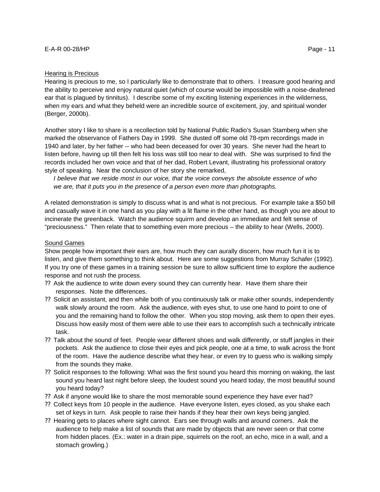### Hearing is Precious

Hearing is precious to me, so I particularly like to demonstrate that to others. I treasure good hearing and the ability to perceive and enjoy natural quiet (which of course would be impossible with a noise-deafened ear that is plagued by tinnitus). I describe some of my exciting listening experiences in the wilderness, when my ears and what they beheld were an incredible source of excitement, joy, and spiritual wonder (Berger, 2000b).

Another story I like to share is a recollection told by National Public Radio's Susan Stamberg when she marked the observance of Fathers Day in 1999. She dusted off some old 78-rpm recordings made in 1940 and later, by her father -- who had been deceased for over 30 years. She never had the heart to listen before, having up till then felt his loss was still too near to deal with. She was surprised to find the records included her own voice and that of her dad, Robert Levant, illustrating his professional oratory style of speaking. Near the conclusion of her story she remarked,

*I believe that we reside most in our voice, that the voice conveys the absolute essence of who we are, that it puts you in the presence of a person even more than photographs.*

A related demonstration is simply to discuss what is and what is not precious. For example take a \$50 bill and casually wave it in one hand as you play with a lit flame in the other hand, as though you are about to incinerate the greenback. Watch the audience squirm and develop an immediate and felt sense of "preciousness." Then relate that to something even more precious – the ability to hear (Wells, 2000).

### Sound Games

Show people how important their ears are, how much they can aurally discern, how much fun it is to listen, and give them something to think about. Here are some suggestions from Murray Schafer (1992). If you try one of these games in a training session be sure to allow sufficient time to explore the audience response and not rush the process.

- ?? Ask the audience to write down every sound they can currently hear. Have them share their responses. Note the differences.
- ?? Solicit an assistant, and then while both of you continuously talk or make other sounds, independently walk slowly around the room. Ask the audience, with eyes shut, to use one hand to point to one of you and the remaining hand to follow the other. When you stop moving, ask them to open their eyes. Discuss how easily most of them were able to use their ears to accomplish such a technically intricate task.
- ?? Talk about the sound of feet. People wear different shoes and walk differently, or stuff jangles in their pockets. Ask the audience to close their eyes and pick people, one at a time, to walk across the front of the room. Have the audience describe what they hear, or even try to guess who is walking simply from the sounds they make.
- ?? Solicit responses to the following: What was the first sound you heard this morning on waking, the last sound you heard last night before sleep, the loudest sound you heard today, the most beautiful sound you heard today?
- ?? Ask if anyone would like to share the most memorable sound experience they have ever had?
- ?? Collect keys from 10 people in the audience. Have everyone listen, eyes closed, as you shake each set of keys in turn. Ask people to raise their hands if they hear their own keys being jangled.
- ?? Hearing gets to places where sight cannot. Ears see through walls and around corners. Ask the audience to help make a list of sounds that are made by objects that are never seen or that come from hidden places. (Ex.: water in a drain pipe, squirrels on the roof, an echo, mice in a wall, and a stomach growling.)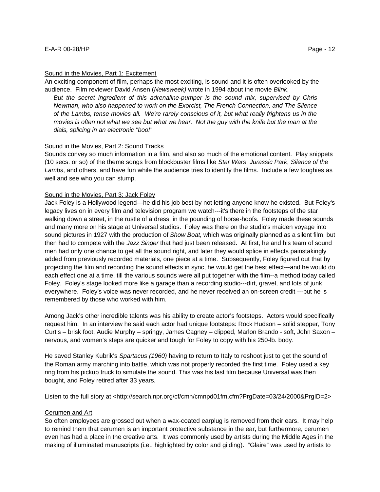An exciting component of film, perhaps the most exciting, is sound and it is often overlooked by the audience. Film reviewer David Ansen (*Newsweek)* wrote in 1994 about the movie *Blink*,

*But the secret ingredient of this adrenaline-pumper is the sound mix, supervised by Chris Newman, who also happened to work on the Exorcist, The French Connection, and The Silence of the Lambs, tense movies all. We're rarely conscious of it, but what really frightens us in the movies is often not what we see but what we hear. Not the guy with the knife but the man at the dials, splicing in an electronic "boo!"*

### Sound in the Movies, Part 2: Sound Tracks

Sounds convey so much information in a film, and also so much of the emotional content. Play snippets (10 secs. or so) of the theme songs from blockbuster films like *Star Wars*, *Jurassic Park*, *Silence of the Lambs*, and others, and have fun while the audience tries to identify the films. Include a few toughies as well and see who you can stump.

### Sound in the Movies, Part 3: Jack Foley

Jack Foley is a Hollywood legend---he did his job best by not letting anyone know he existed. But Foley's legacy lives on in every film and television program we watch---it's there in the footsteps of the star walking down a street, in the rustle of a dress, in the pounding of horse-hoofs. Foley made these sounds and many more on his stage at Universal studios. Foley was there on the studio's maiden voyage into sound pictures in 1927 with the production of *Show Boat,* which was originally planned as a silent film, but then had to compete with the *Jazz Singer* that had just been released. At first, he and his team of sound men had only one chance to get all the sound right, and later they would splice in effects painstakingly added from previously recorded materials, one piece at a time. Subsequently, Foley figured out that by projecting the film and recording the sound effects in sync, he would get the best effect---and he would do each effect one at a time, till the various sounds were all put together with the film--a method today called Foley. Foley's stage looked more like a garage than a recording studio---dirt, gravel, and lots of junk everywhere. Foley's voice was never recorded, and he never received an on-screen credit ---but he is remembered by those who worked with him.

Among Jack's other incredible talents was his ability to create actor's footsteps. Actors would specifically request him. In an interview he said each actor had unique footsteps: Rock Hudson – solid stepper, Tony Curtis – brisk foot, Audie Murphy – springy, James Cagney – clipped, Marlon Brando - soft, John Saxon – nervous, and women's steps are quicker and tough for Foley to copy with his 250-lb. body.

He saved Stanley Kubrik's *Spartacus (1960)* having to return to Italy to reshoot just to get the sound of the Roman army marching into battle, which was not properly recorded the first time. Foley used a key ring from his pickup truck to simulate the sound. This was his last film because Universal was then bought, and Foley retired after 33 years.

Listen to the full story at <http://search.npr.org/cf/cmn/cmnpd01fm.cfm?PrgDate=03/24/2000&PrgID=2>

#### Cerumen and Art

So often employees are grossed out when a wax-coated earplug is removed from their ears. It may help to remind them that cerumen is an important protective substance in the ear, but furthermore, cerumen even has had a place in the creative arts. It was commonly used by artists during the Middle Ages in the making of illuminated manuscripts (i.e., highlighted by color and gilding). "Glaire" was used by artists to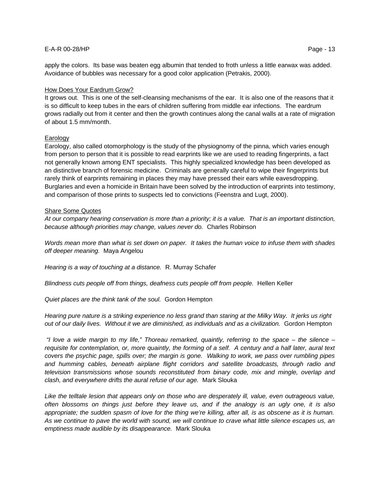### How Does Your Eardrum Grow?

It grows out. This is one of the self-cleansing mechanisms of the ear. It is also one of the reasons that it is so difficult to keep tubes in the ears of children suffering from middle ear infections. The eardrum grows radially out from it center and then the growth continues along the canal walls at a rate of migration of about 1.5 mm/month.

### **Earology**

Earology, also called otomorphology is the study of the physiognomy of the pinna, which varies enough from person to person that it is possible to read earprints like we are used to reading fingerprints, a fact not generally known among ENT specialists. This highly specialized knowledge has been developed as an distinctive branch of forensic medicine. Criminals are generally careful to wipe their fingerprints but rarely think of earprints remaining in places they may have pressed their ears while eavesdropping. Burglaries and even a homicide in Britain have been solved by the introduction of earprints into testimony, and comparison of those prints to suspects led to convictions (Feenstra and Lugt, 2000).

### Share Some Quotes

*At our company hearing conservation is more than a priority; it is a value. That is an important distinction, because although priorities may change, values never do.* Charles Robinson

*Words mean more than what is set down on paper. It takes the human voice to infuse them with shades off deeper meaning.* Maya Angelou

*Hearing is a way of touching at a distance.* R. Murray Schafer

*Blindness cuts people off from things, deafness cuts people off from people.* Hellen Keller

*Quiet places are the think tank of the soul.* Gordon Hempton

*Hearing pure nature is a striking experience no less grand than staring at the Milky Way. It jerks us right out of our daily lives. Without it we are diminished, as individuals and as a civilization.* Gordon Hempton

 *"I love a wide margin to my life," Thoreau remarked, quaintly, referring to the space – the silence – requisite for contemplation, or, more quaintly, the forming of a self. A century and a half later, aural text covers the psychic page, spills over; the margin is gone. Walking to work, we pass over rumbling pipes and humming cables, beneath airplane flight corridors and satellite broadcasts, through radio and television transmissions whose sounds reconstituted from binary code, mix and mingle, overlap and clash, and everywhere drifts the aural refuse of our age.* Mark Slouka

*Like the telltale lesion that appears only on those who are desperately ill, value, even outrageous value, often blossoms on things just before they leave us, and if the analogy is an ugly one, it is also appropriate; the sudden spasm of love for the thing we're killing, after all, is as obscene as it is human. As we continue to pave the world with sound, we will continue to crave what little silence escapes us, an emptiness made audible by its disappearance.* Mark Slouka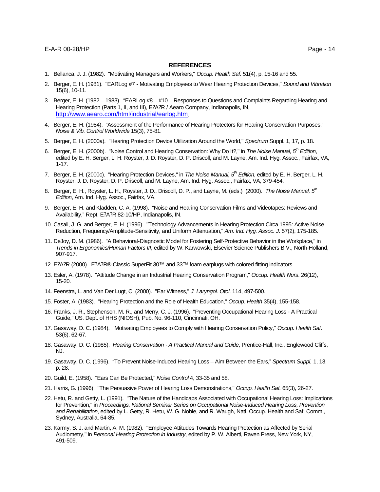#### **REFERENCES**

- 1. Bellanca, J. J. (1982). "Motivating Managers and Workers," *Occup. Health Saf.* 51(4), p. 15-16 and 55.
- 2. Berger, E. H. (1981). "EARLog #7 Motivating Employees to Wear Hearing Protection Devices," *Sound and Vibration*  15(6), 10-11.
- 3. Berger, E. H. (1982 1983). "EARLog #8 #10 Responses to Questions and Complaints Regarding Hearing and Hearing Protection (Parts 1, II, and III), E?A?R / Aearo Company, Indianapolis, IN, http://www.aearo.com/html/industrial/earlog.htm.
- 4. Berger, E. H. (1984). "Assessment of the Performance of Hearing Protectors for Hearing Conservation Purposes," *Noise & Vib. Control Worldwide* 15(3), 75-81.
- 5. Berger, E. H. (2000a). "Hearing Protection Device Utilization Around the World," *Spectrum* Suppl. 1, 17, p. 18.
- 6. Berger, E. H. (2000b). "Noise Control and Hearing Conservation: Why Do It?," in *The Noise Manual, 5th Edition*, edited by E. H. Berger, L. H. Royster, J. D. Royster, D. P. Driscoll, and M. Layne, Am. Ind. Hyg. Assoc., Fairfax, VA, 1-17.
- 7. Berger, E. H. (2000c). "Hearing Protection Devices," in *The Noise Manual, 5th Edition*, edited by E. H. Berger, L. H. Royster, J. D. Royster, D. P. Driscoll, and M. Layne, Am. Ind. Hyg. Assoc., Fairfax, VA, 379-454.
- 8. Berger, E. H., Royster, L. H., Royster, J. D., Driscoll, D. P., and Layne, M. (eds.) (2000). *The Noise Manual, 5th Edition*, Am. Ind. Hyg. Assoc., Fairfax, VA.
- 9. Berger, E. H. and Kladden, C. A. (1998). "Noise and Hearing Conservation Films and Videotapes: Reviews and Availability," Rept. E?A?R 82-10/HP, Indianapolis, IN.
- 10. Casali, J. G. and Berger, E. H. (1996). "Technology Advancements in Hearing Protection Circa 1995: Active Noise Reduction, Frequency/Amplitude-Sensitivity, and Uniform Attenuation," *Am. Ind. Hyg. Assoc. J*. 57(2), 175-185.
- 11. DeJoy, D. M. (1986). "A Behavioral-Diagnostic Model for Fostering Self-Protective Behavior in the Workplace," in *Trends in Ergonomics/Human Factors III*, edited by W. Karwowski, Elsevier Science Publishers B.V., North-Holland, 907-917.
- 12. E?A?R (2000). E?A?R® Classic SuperFit 30™ and 33™ foam earplugs with colored fitting indicators.
- 13. Esler, A. (1978). "Attitude Change in an Industrial Hearing Conservation Program," *Occup. Health Nurs*. 26(12), 15-20.
- 14. Feenstra, L. and Van Der Lugt, C. (2000). "Ear Witness," *J. Laryngol. Otol*. 114, 497-500.
- 15. Foster, A. (1983). "Hearing Protection and the Role of Health Education," *Occup. Health* 35(4), 155-158.
- 16. Franks, J. R., Stephenson, M. R., and Merry, C. J. (1996). "Preventing Occupational Hearing Loss A Practical Guide," US. Dept. of HHS (NIOSH), Pub. No. 96-110, Cincinnati, OH.
- 17. Gasaway, D. C. (1984). "Motivating Employees to Comply with Hearing Conservation Policy," *Occup. Health Saf*. 53(6), 62-67.
- 18. Gasaway, D. C. (1985). *Hearing Conservation A Practical Manual and Guide*, Prentice-Hall, Inc., Englewood Cliffs, NJ.
- 19. Gasaway, D. C. (1996). "To Prevent Noise-Induced Hearing Loss Aim Between the Ears," *Spectrum Suppl.* 1, 13, p. 28.
- 20. Guild, E. (1958). "Ears Can Be Protected," *Noise Control* 4, 33-35 and 58.
- 21. Harris, G. (1996). "The Persuasive Power of Hearing Loss Demonstrations," *Occup. Health Saf.* 65(3), 26-27.
- 22. Hetu, R. and Getty, L. (1991). "The Nature of the Handicaps Associated with Occupational Hearing Loss: Implications for Prevention," in *Proceedings, National Seminar Series on Occupational Noise-Induced Hearing Loss, Prevention and Rehabilitation*, edited by L. Getty, R. Hetu, W. G. Noble, and R. Waugh, Natl. Occup. Health and Saf. Comm., Sydney, Australia, 64-85.
- 23. Karmy, S. J. and Martin, A. M. (1982). "Employee Attitudes Towards Hearing Protection as Affected by Serial Audiometry," in *Personal Hearing Protection in Industry*, edited by P. W. Alberti, Raven Press, New York, NY, 491-509.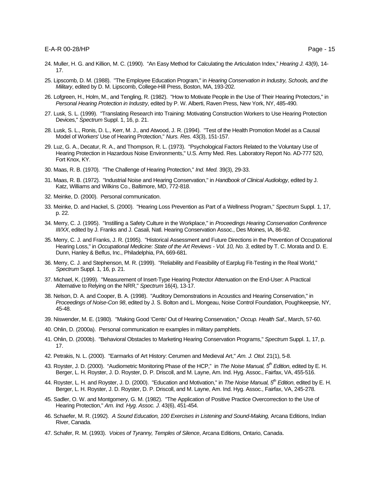- 24. Muller, H. G. and Killion, M. C. (1990). "An Easy Method for Calculating the Articulation Index," *Hearing J.* 43(9), 14- 17.
- 25. Lipscomb, D. M. (1988). "The Employee Education Program," in *Hearing Conservation in Industry, Schools, and the Military*, edited by D. M. Lipscomb, College-Hill Press, Boston, MA, 193-202.
- 26. Lofgreen, H., Holm, M., and Tengling, R. (1982). "How to Motivate People in the Use of Their Hearing Protectors," in *Personal Hearing Protection in Industry*, edited by P. W. Alberti, Raven Press, New York, NY, 485-490.
- 27. Lusk, S. L. (1999). "Translating Research into Training: Motivating Construction Workers to Use Hearing Protection Devices," *Spectrum* Suppl. 1, 16, p. 21.
- 28. Lusk, S. L., Ronis, D. L., Kerr, M. J., and Atwood, J. R. (1994). "Test of the Health Promotion Model as a Causal Model of Workers' Use of Hearing Protection," *Nurs. Res*. 43(3), 151-157.
- 29. Luz, G. A., Decatur, R. A., and Thompson, R. L. (1973). "Psychological Factors Related to the Voluntary Use of Hearing Protection in Hazardous Noise Environments," U.S. Army Med. Res. Laboratory Report No. AD-777 520, Fort Knox, KY.
- 30. Maas, R. B. (1970). "The Challenge of Hearing Protection," *Ind. Med.* 39(3), 29-33.
- 31. Maas, R. B. (1972). "Industrial Noise and Hearing Conservation," in *Handbook of Clinical Audiology*, edited by J. Katz, Williams and Wilkins Co., Baltimore, MD, 772-818.
- 32. Meinke, D. (2000). Personal communication.
- 33. Meinke, D. and Hackel, S. (2000). "Hearing Loss Prevention as Part of a Wellness Program," *Spectrum* Suppl. 1, 17, p. 22.
- 34. Merry, C. J. (1995). "Instilling a Safety Culture in the Workplace," in *Proceedings Hearing Conservation Conference III/XX*, edited by J. Franks and J. Casali, Natl. Hearing Conservation Assoc., Des Moines, IA, 86-92.
- 35. Merry, C. J. and Franks, J. R. (1995). "Historical Assessment and Future Directions in the Prevention of Occupational Hearing Loss," in *Occupational Medicine: State of the Art Reviews - Vol. 10, No. 3*, edited by T. C. Morata and D. E. Dunn, Hanley & Belfus, Inc., Philadelphia, PA, 669-681.
- 36. Merry, C. J. and Stephenson, M. R. (1999). "Reliability and Feasibility of Earplug Fit-Testing in the Real World," *Spectrum* Suppl. 1, 16, p. 21.
- 37. Michael, K. (1999). "Measurement of Insert-Type Hearing Protector Attenuation on the End-User: A Practical Alternative to Relying on the NRR," *Spectrum* 16(4), 13-17.
- 38. Nelson, D. A. and Cooper, B. A. (1998). "Auditory Demonstrations in Acoustics and Hearing Conservation," in *Proceedings of Noise-Con 98*, edited by J. S. Bolton and L. Mongeau, Noise Control Foundation, Poughkeepsie, NY, 45-48.
- 39. Niswender, M. E. (1980). "Making Good 'Cents' Out of Hearing Conservation," *Occup. Health Saf*., March, 57-60.
- 40. Ohlin, D. (2000a). Personal communication re examples in military pamphlets.
- 41. Ohlin, D. (2000b). "Behavioral Obstacles to Marketing Hearing Conservation Programs," *Spectrum* Suppl. 1, 17, p. 17.
- 42. Petrakis, N. L. (2000). "Earmarks of Art History: Cerumen and Medieval Art," *Am. J. Otol*. 21(1), 5-8.
- 43. Royster, J. D. (2000). "Audiometric Monitoring Phase of the HCP," in *The Noise Manual, 5th Edition*, edited by E. H. Berger, L. H. Royster, J. D. Royster, D. P. Driscoll, and M. Layne, Am. Ind. Hyg. Assoc., Fairfax, VA, 455-516.
- 44. Royster, L. H. and Royster, J. D. (2000). "Education and Motivation," in *The Noise Manual, 5th Edition*, edited by E. H. Berger, L. H. Royster, J. D. Royster, D. P. Driscoll, and M. Layne, Am. Ind. Hyg. Assoc., Fairfax, VA, 245-278.
- 45. Sadler, O. W. and Montgomery, G. M. (1982). "The Application of Positive Practice Overcorrection to the Use of Hearing Protection," *Am. Ind. Hyg. Assoc. J*. 43(6), 451-454.
- 46. Schaefer, M. R. (1992). *A Sound Education, 100 Exercises in Listening and Sound-Making,* Arcana Editions, Indian River, Canada.
- 47. Schafer, R. M. (1993). *Voices of Tyranny, Temples of Silence*, Arcana Editions, Ontario, Canada.